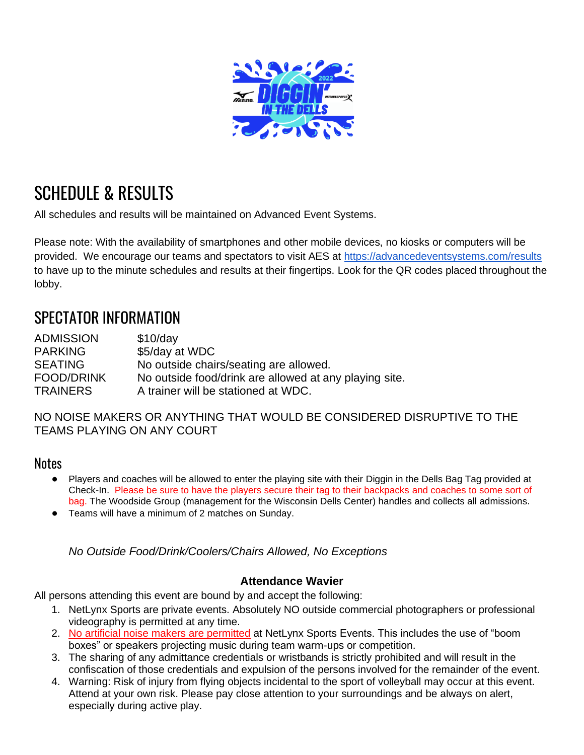

# SCHEDULE & RESULTS

All schedules and results will be maintained on Advanced Event Systems.

Please note: With the availability of smartphones and other mobile devices, no kiosks or computers will be provided. We encourage our teams and spectators to visit AES at<https://advancedeventsystems.com/results> to have up to the minute schedules and results at their fingertips. Look for the QR codes placed throughout the lobby.

# SPECTATOR INFORMATION

| No outside chairs/seating are allowed.                 |
|--------------------------------------------------------|
| No outside food/drink are allowed at any playing site. |
| A trainer will be stationed at WDC.                    |
|                                                        |

NO NOISE MAKERS OR ANYTHING THAT WOULD BE CONSIDERED DISRUPTIVE TO THE TEAMS PLAYING ON ANY COURT

# **Notes**

- Players and coaches will be allowed to enter the playing site with their Diggin in the Dells Bag Tag provided at Check-In. Please be sure to have the players secure their tag to their backpacks and coaches to some sort of bag. The Woodside Group (management for the Wisconsin Dells Center) handles and collects all admissions.
- Teams will have a minimum of 2 matches on Sunday.

*No Outside Food/Drink/Coolers/Chairs Allowed, No Exceptions*

#### **Attendance Wavier**

All persons attending this event are bound by and accept the following:

- 1. NetLynx Sports are private events. Absolutely NO outside commercial photographers or professional videography is permitted at any time.
- 2. No artificial noise makers are permitted at NetLynx Sports Events. This includes the use of "boom boxes" or speakers projecting music during team warm-ups or competition.
- 3. The sharing of any admittance credentials or wristbands is strictly prohibited and will result in the confiscation of those credentials and expulsion of the persons involved for the remainder of the event.
- 4. Warning: Risk of injury from flying objects incidental to the sport of volleyball may occur at this event. Attend at your own risk. Please pay close attention to your surroundings and be always on alert, especially during active play.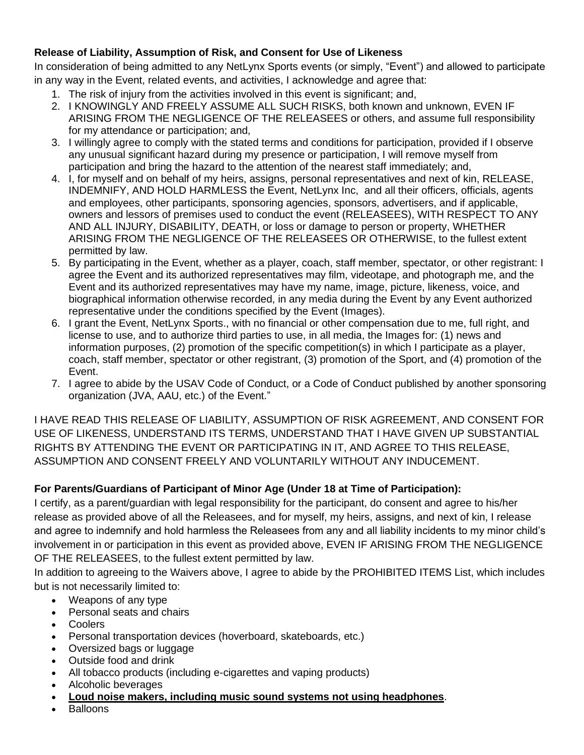### **Release of Liability, Assumption of Risk, and Consent for Use of Likeness**

In consideration of being admitted to any NetLynx Sports events (or simply, "Event") and allowed to participate in any way in the Event, related events, and activities, I acknowledge and agree that:

- 1. The risk of injury from the activities involved in this event is significant; and,
- 2. I KNOWINGLY AND FREELY ASSUME ALL SUCH RISKS, both known and unknown, EVEN IF ARISING FROM THE NEGLIGENCE OF THE RELEASEES or others, and assume full responsibility for my attendance or participation; and,
- 3. I willingly agree to comply with the stated terms and conditions for participation, provided if I observe any unusual significant hazard during my presence or participation, I will remove myself from participation and bring the hazard to the attention of the nearest staff immediately; and,
- 4. I, for myself and on behalf of my heirs, assigns, personal representatives and next of kin, RELEASE, INDEMNIFY, AND HOLD HARMLESS the Event, NetLynx Inc, and all their officers, officials, agents and employees, other participants, sponsoring agencies, sponsors, advertisers, and if applicable, owners and lessors of premises used to conduct the event (RELEASEES), WITH RESPECT TO ANY AND ALL INJURY, DISABILITY, DEATH, or loss or damage to person or property, WHETHER ARISING FROM THE NEGLIGENCE OF THE RELEASEES OR OTHERWISE, to the fullest extent permitted by law.
- 5. By participating in the Event, whether as a player, coach, staff member, spectator, or other registrant: I agree the Event and its authorized representatives may film, videotape, and photograph me, and the Event and its authorized representatives may have my name, image, picture, likeness, voice, and biographical information otherwise recorded, in any media during the Event by any Event authorized representative under the conditions specified by the Event (Images).
- 6. I grant the Event, NetLynx Sports., with no financial or other compensation due to me, full right, and license to use, and to authorize third parties to use, in all media, the Images for: (1) news and information purposes, (2) promotion of the specific competition(s) in which I participate as a player, coach, staff member, spectator or other registrant, (3) promotion of the Sport, and (4) promotion of the Event.
- 7. I agree to abide by the USAV Code of Conduct, or a Code of Conduct published by another sponsoring organization (JVA, AAU, etc.) of the Event."

I HAVE READ THIS RELEASE OF LIABILITY, ASSUMPTION OF RISK AGREEMENT, AND CONSENT FOR USE OF LIKENESS, UNDERSTAND ITS TERMS, UNDERSTAND THAT I HAVE GIVEN UP SUBSTANTIAL RIGHTS BY ATTENDING THE EVENT OR PARTICIPATING IN IT, AND AGREE TO THIS RELEASE, ASSUMPTION AND CONSENT FREELY AND VOLUNTARILY WITHOUT ANY INDUCEMENT.

## **For Parents/Guardians of Participant of Minor Age (Under 18 at Time of Participation):**

I certify, as a parent/guardian with legal responsibility for the participant, do consent and agree to his/her release as provided above of all the Releasees, and for myself, my heirs, assigns, and next of kin, I release and agree to indemnify and hold harmless the Releasees from any and all liability incidents to my minor child's involvement in or participation in this event as provided above, EVEN IF ARISING FROM THE NEGLIGENCE OF THE RELEASEES, to the fullest extent permitted by law.

In addition to agreeing to the Waivers above, I agree to abide by the PROHIBITED ITEMS List, which includes but is not necessarily limited to:

- Weapons of any type
- Personal seats and chairs
- Coolers
- Personal transportation devices (hoverboard, skateboards, etc.)
- Oversized bags or luggage
- Outside food and drink
- All tobacco products (including e-cigarettes and vaping products)
- Alcoholic beverages
- **Loud noise makers, including music sound systems not using headphones**.
- **Balloons**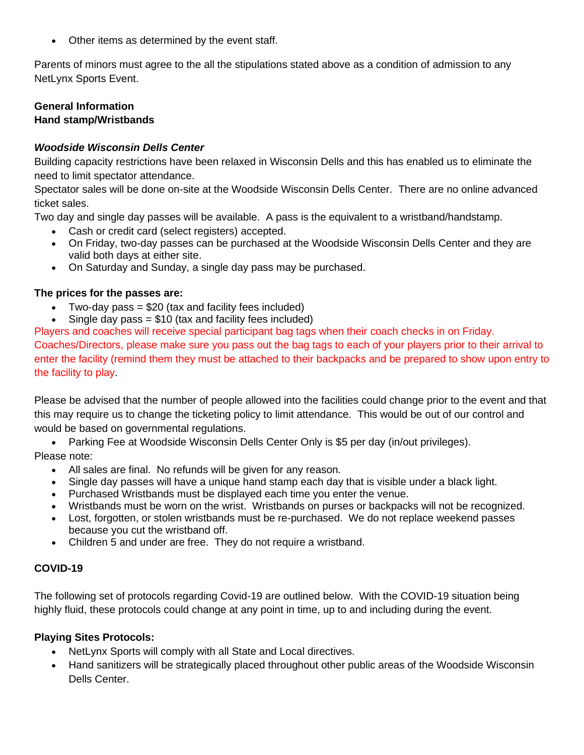• Other items as determined by the event staff.

Parents of minors must agree to the all the stipulations stated above as a condition of admission to any NetLynx Sports Event.

#### **General Information Hand stamp/Wristbands**

#### *Woodside Wisconsin Dells Center*

Building capacity restrictions have been relaxed in Wisconsin Dells and this has enabled us to eliminate the need to limit spectator attendance.

Spectator sales will be done on-site at the Woodside Wisconsin Dells Center. There are no online advanced ticket sales.

Two day and single day passes will be available. A pass is the equivalent to a wristband/handstamp.

- Cash or credit card (select registers) accepted.
- On Friday, two-day passes can be purchased at the Woodside Wisconsin Dells Center and they are valid both days at either site.
- On Saturday and Sunday, a single day pass may be purchased.

#### **The prices for the passes are:**

- Two-day pass  $= $20$  (tax and facility fees included)
- Single day pass  $= $10$  (tax and facility fees included)

Players and coaches will receive special participant bag tags when their coach checks in on Friday. Coaches/Directors, please make sure you pass out the bag tags to each of your players prior to their arrival to enter the facility (remind them they must be attached to their backpacks and be prepared to show upon entry to the facility to play.

Please be advised that the number of people allowed into the facilities could change prior to the event and that this may require us to change the ticketing policy to limit attendance. This would be out of our control and would be based on governmental regulations.

• Parking Fee at Woodside Wisconsin Dells Center Only is \$5 per day (in/out privileges).

Please note:

- All sales are final. No refunds will be given for any reason.
- Single day passes will have a unique hand stamp each day that is visible under a black light.
- Purchased Wristbands must be displayed each time you enter the venue.
- Wristbands must be worn on the wrist. Wristbands on purses or backpacks will not be recognized.
- Lost, forgotten, or stolen wristbands must be re-purchased. We do not replace weekend passes because you cut the wristband off.
- Children 5 and under are free. They do not require a wristband.

#### **COVID-19**

The following set of protocols regarding Covid-19 are outlined below. With the COVID-19 situation being highly fluid, these protocols could change at any point in time, up to and including during the event.

#### **Playing Sites Protocols:**

- NetLynx Sports will comply with all State and Local directives.
- Hand sanitizers will be strategically placed throughout other public areas of the Woodside Wisconsin Dells Center.